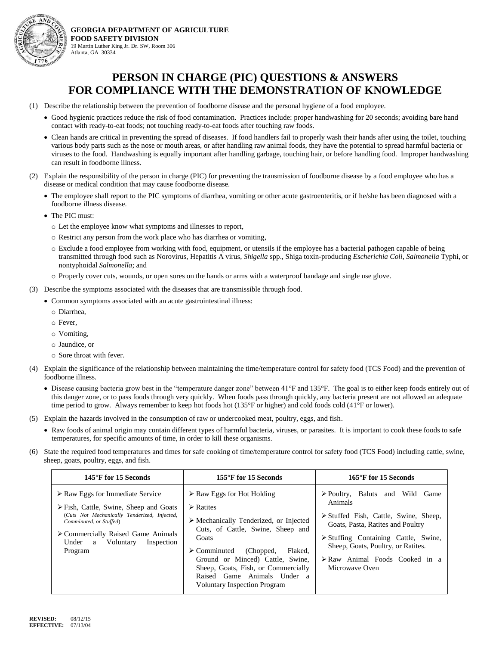

**GEORGIA DEPARTMENT OF AGRICULTURE FOOD SAFETY DIVISION** 19 Martin Luther King Jr. Dr. SW, Room 306 Atlanta, GA 30334

- (1) Describe the relationship between the prevention of foodborne disease and the personal hygiene of a food employee.
	- Good hygienic practices reduce the risk of food contamination. Practices include: proper handwashing for 20 seconds; avoiding bare hand contact with ready-to-eat foods; not touching ready-to-eat foods after touching raw foods.
	- Clean hands are critical in preventing the spread of diseases. If food handlers fail to properly wash their hands after using the toilet, touching various body parts such as the nose or mouth areas, or after handling raw animal foods, they have the potential to spread harmful bacteria or viruses to the food. Handwashing is equally important after handling garbage, touching hair, or before handling food. Improper handwashing can result in foodborne illness.
- (2) Explain the responsibility of the person in charge (PIC) for preventing the transmission of foodborne disease by a food employee who has a disease or medical condition that may cause foodborne disease.
	- The employee shall report to the PIC symptoms of diarrhea, vomiting or other acute gastroenteritis, or if he/she has been diagnosed with a foodborne illness disease.
	- The PIC must:
		- o Let the employee know what symptoms and illnesses to report,
		- o Restrict any person from the work place who has diarrhea or vomiting,
		- o Exclude a food employee from working with food, equipment, or utensils if the employee has a bacterial pathogen capable of being transmitted through food such as Norovirus, Hepatitis A virus, *Shigella* spp., Shiga toxin-producing *Escherichia Coli*, *Salmonella* Typhi, or nontyphoidal *Salmonella*; and
		- o Properly cover cuts, wounds, or open sores on the hands or arms with a waterproof bandage and single use glove.
- (3) Describe the symptoms associated with the diseases that are transmissible through food.
	- Common symptoms associated with an acute gastrointestinal illness:
		- o Diarrhea,
		- o Fever,
		- o Vomiting,
		- o Jaundice, or
		- o Sore throat with fever.
- (4) Explain the significance of the relationship between maintaining the time/temperature control for safety food (TCS Food) and the prevention of foodborne illness.
	- Disease causing bacteria grow best in the "temperature danger zone" between 41°F and 135°F. The goal is to either keep foods entirely out of this danger zone, or to pass foods through very quickly. When foods pass through quickly, any bacteria present are not allowed an adequate time period to grow. Always remember to keep hot foods hot (135°F or higher) and cold foods cold (41°F or lower).
- (5) Explain the hazards involved in the consumption of raw or undercooked meat, poultry, eggs, and fish.
	- Raw foods of animal origin may contain different types of harmful bacteria, viruses, or parasites. It is important to cook these foods to safe temperatures, for specific amounts of time, in order to kill these organisms.
- (6) State the required food temperatures and times for safe cooking of time/temperature control for safety food (TCS Food) including cattle, swine, sheep, goats, poultry, eggs, and fish.

| 145°F for 15 Seconds                                                                                                                                                                                                                                                                   | 155°F for 15 Seconds                                                                                                                                                                                                                                                                                                                                                                 | 165°F for 15 Seconds                                                                                                                                                                                                                                                                                       |
|----------------------------------------------------------------------------------------------------------------------------------------------------------------------------------------------------------------------------------------------------------------------------------------|--------------------------------------------------------------------------------------------------------------------------------------------------------------------------------------------------------------------------------------------------------------------------------------------------------------------------------------------------------------------------------------|------------------------------------------------------------------------------------------------------------------------------------------------------------------------------------------------------------------------------------------------------------------------------------------------------------|
| $\triangleright$ Raw Eggs for Immediate Service<br>$\triangleright$ Fish, Cattle, Swine, Sheep and Goats<br>(Cuts Not Mechanically Tenderized, Injected,<br>Comminuted, or Stuffed)<br>$\triangleright$ Commercially Raised Game Animals<br>Under a Voluntary<br>Inspection<br>Program | $\triangleright$ Raw Eggs for Hot Holding<br>$\triangleright$ Ratites<br>$\triangleright$ Mechanically Tenderized, or Injected<br>Cuts, of Cattle, Swine, Sheep and<br>Goats<br>Flaked.<br>$\triangleright$ Comminuted<br>(Chopped,<br>Ground or Minced) Cattle, Swine,<br>Sheep, Goats, Fish, or Commercially<br>Raised Game Animals Under a<br><b>Voluntary Inspection Program</b> | $\triangleright$ Poultry, Baluts and Wild<br>Game<br>Animals<br>> Stuffed Fish, Cattle, Swine, Sheep,<br>Goats, Pasta, Ratites and Poultry<br>$\triangleright$ Stuffing Containing Cattle, Swine,<br>Sheep, Goats, Poultry, or Ratites.<br>$\triangleright$ Raw Animal Foods Cooked in a<br>Microwaye Oven |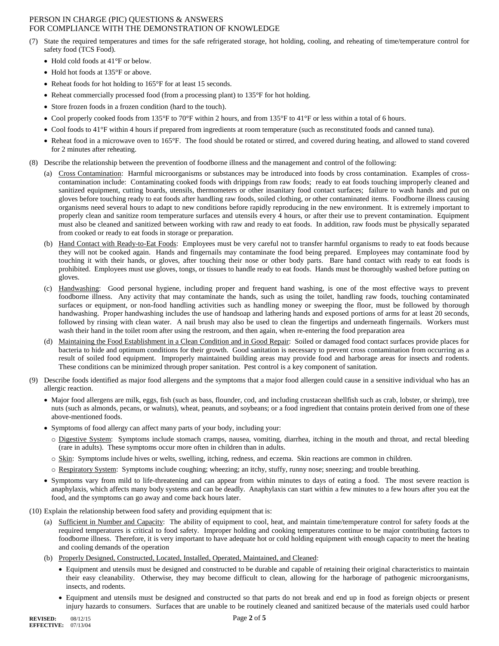- (7) State the required temperatures and times for the safe refrigerated storage, hot holding, cooling, and reheating of time/temperature control for safety food (TCS Food).
	- Hold cold foods at 41°F or below.
	- Hold hot foods at 135°F or above.
	- Reheat foods for hot holding to 165°F for at least 15 seconds.
	- Reheat commercially processed food (from a processing plant) to 135°F for hot holding.
	- Store frozen foods in a frozen condition (hard to the touch).
	- Cool properly cooked foods from 135°F to 70°F within 2 hours, and from 135°F to 41°F or less within a total of 6 hours.
	- Cool foods to 41°F within 4 hours if prepared from ingredients at room temperature (such as reconstituted foods and canned tuna).
	- Reheat food in a microwave oven to 165°F. The food should be rotated or stirred, and covered during heating, and allowed to stand covered for 2 minutes after reheating.
- (8) Describe the relationship between the prevention of foodborne illness and the management and control of the following:
	- (a) Cross Contamination: Harmful microorganisms or substances may be introduced into foods by cross contamination. Examples of crosscontamination include: Contaminating cooked foods with drippings from raw foods; ready to eat foods touching improperly cleaned and sanitized equipment, cutting boards, utensils, thermometers or other insanitary food contact surfaces; failure to wash hands and put on gloves before touching ready to eat foods after handling raw foods, soiled clothing, or other contaminated items. Foodborne illness causing organisms need several hours to adapt to new conditions before rapidly reproducing in the new environment. It is extremely important to properly clean and sanitize room temperature surfaces and utensils every 4 hours, or after their use to prevent contamination. Equipment must also be cleaned and sanitized between working with raw and ready to eat foods. In addition, raw foods must be physically separated from cooked or ready to eat foods in storage or preparation.
	- (b) Hand Contact with Ready-to-Eat Foods: Employees must be very careful not to transfer harmful organisms to ready to eat foods because they will not be cooked again. Hands and fingernails may contaminate the food being prepared. Employees may contaminate food by touching it with their hands, or gloves, after touching their nose or other body parts. Bare hand contact with ready to eat foods is prohibited. Employees must use gloves, tongs, or tissues to handle ready to eat foods. Hands must be thoroughly washed before putting on gloves.
	- (c) Handwashing: Good personal hygiene, including proper and frequent hand washing, is one of the most effective ways to prevent foodborne illness. Any activity that may contaminate the hands, such as using the toilet, handling raw foods, touching contaminated surfaces or equipment, or non-food handling activities such as handling money or sweeping the floor, must be followed by thorough handwashing. Proper handwashing includes the use of handsoap and lathering hands and exposed portions of arms for at least 20 seconds, followed by rinsing with clean water. A nail brush may also be used to clean the fingertips and underneath fingernails. Workers must wash their hand in the toilet room after using the restroom, and then again, when re-entering the food preparation area
	- (d) Maintaining the Food Establishment in a Clean Condition and in Good Repair: Soiled or damaged food contact surfaces provide places for bacteria to hide and optimum conditions for their growth. Good sanitation is necessary to prevent cross contamination from occurring as a result of soiled food equipment. Improperly maintained building areas may provide food and harborage areas for insects and rodents. These conditions can be minimized through proper sanitation. Pest control is a key component of sanitation.
- (9) Describe foods identified as major food allergens and the symptoms that a major food allergen could cause in a sensitive individual who has an allergic reaction.
	- Major food allergens are milk, eggs, fish (such as bass, flounder, cod, and including crustacean shellfish such as crab, lobster, or shrimp), tree nuts (such as almonds, pecans, or walnuts), wheat, peanuts, and soybeans; or a food ingredient that contains protein derived from one of these above-mentioned foods.
	- Symptoms of food allergy can affect many parts of your body, including your:
		- o Digestive System: Symptoms include stomach cramps, nausea, vomiting, diarrhea, itching in the mouth and throat, and rectal bleeding (rare in adults). These symptoms occur more often in children than in adults.
		- o Skin: Symptoms include hives or welts, swelling, itching, redness, and eczema. Skin reactions are common in children.
		- o Respiratory System: Symptoms include coughing; wheezing; an itchy, stuffy, runny nose; sneezing; and trouble breathing.
	- Symptoms vary from mild to life-threatening and can appear from within minutes to days of eating a food. The most severe reaction is anaphylaxis, which affects many body systems and can be deadly. Anaphylaxis can start within a few minutes to a few hours after you eat the food, and the symptoms can go away and come back hours later.
- (10) Explain the relationship between food safety and providing equipment that is:
	- (a) Sufficient in Number and Capacity: The ability of equipment to cool, heat, and maintain time/temperature control for safety foods at the required temperatures is critical to food safety. Improper holding and cooking temperatures continue to be major contributing factors to foodborne illness. Therefore, it is very important to have adequate hot or cold holding equipment with enough capacity to meet the heating and cooling demands of the operation
	- (b) Properly Designed, Constructed, Located, Installed, Operated, Maintained, and Cleaned:
		- Equipment and utensils must be designed and constructed to be durable and capable of retaining their original characteristics to maintain their easy cleanability. Otherwise, they may become difficult to clean, allowing for the harborage of pathogenic microorganisms, insects, and rodents.
		- Equipment and utensils must be designed and constructed so that parts do not break and end up in food as foreign objects or present injury hazards to consumers. Surfaces that are unable to be routinely cleaned and sanitized because of the materials used could harbor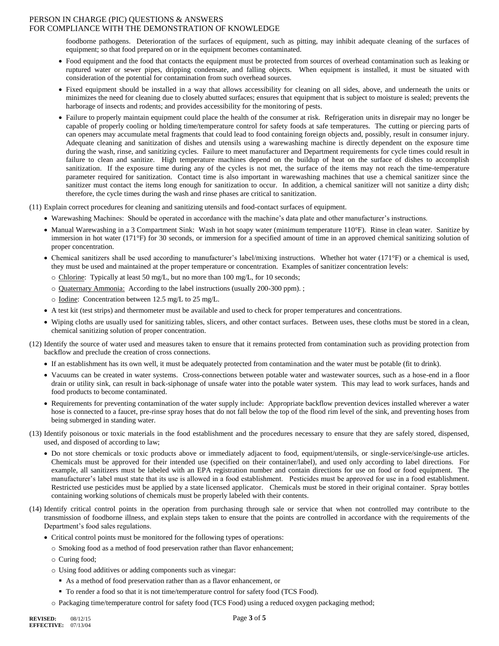foodborne pathogens. Deterioration of the surfaces of equipment, such as pitting, may inhibit adequate cleaning of the surfaces of equipment; so that food prepared on or in the equipment becomes contaminated.

- Food equipment and the food that contacts the equipment must be protected from sources of overhead contamination such as leaking or ruptured water or sewer pipes, dripping condensate, and falling objects. When equipment is installed, it must be situated with consideration of the potential for contamination from such overhead sources.
- Fixed equipment should be installed in a way that allows accessibility for cleaning on all sides, above, and underneath the units or minimizes the need for cleaning due to closely abutted surfaces; ensures that equipment that is subject to moisture is sealed; prevents the harborage of insects and rodents; and provides accessibility for the monitoring of pests.
- Failure to properly maintain equipment could place the health of the consumer at risk. Refrigeration units in disrepair may no longer be capable of properly cooling or holding time/temperature control for safety foods at safe temperatures. The cutting or piercing parts of can openers may accumulate metal fragments that could lead to food containing foreign objects and, possibly, result in consumer injury. Adequate cleaning and sanitization of dishes and utensils using a warewashing machine is directly dependent on the exposure time during the wash, rinse, and sanitizing cycles. Failure to meet manufacturer and Department requirements for cycle times could result in failure to clean and sanitize. High temperature machines depend on the buildup of heat on the surface of dishes to accomplish sanitization. If the exposure time during any of the cycles is not met, the surface of the items may not reach the time-temperature parameter required for sanitization. Contact time is also important in warewashing machines that use a chemical sanitizer since the sanitizer must contact the items long enough for sanitization to occur. In addition, a chemical sanitizer will not sanitize a dirty dish; therefore, the cycle times during the wash and rinse phases are critical to sanitization.
- (11) Explain correct procedures for cleaning and sanitizing utensils and food-contact surfaces of equipment.
	- Warewashing Machines: Should be operated in accordance with the machine's data plate and other manufacturer's instructions.
	- Manual Warewashing in a 3 Compartment Sink: Wash in hot soapy water (minimum temperature 110°F). Rinse in clean water. Sanitize by immersion in hot water (171°F) for 30 seconds, or immersion for a specified amount of time in an approved chemical sanitizing solution of proper concentration.
	- Chemical sanitizers shall be used according to manufacturer's label/mixing instructions. Whether hot water (171°F) or a chemical is used, they must be used and maintained at the proper temperature or concentration. Examples of sanitizer concentration levels:
		- o Chlorine: Typically at least 50 mg/L, but no more than 100 mg/L, for 10 seconds;
		- o Quaternary Ammonia: According to the label instructions (usually 200-300 ppm). ;
		- o Iodine: Concentration between 12.5 mg/L to 25 mg/L.
	- A test kit (test strips) and thermometer must be available and used to check for proper temperatures and concentrations.
	- Wiping cloths are usually used for sanitizing tables, slicers, and other contact surfaces. Between uses, these cloths must be stored in a clean, chemical sanitizing solution of proper concentration.
- (12) Identify the source of water used and measures taken to ensure that it remains protected from contamination such as providing protection from backflow and preclude the creation of cross connections.
	- If an establishment has its own well, it must be adequately protected from contamination and the water must be potable (fit to drink).
	- Vacuums can be created in water systems. Cross-connections between potable water and wastewater sources, such as a hose-end in a floor drain or utility sink, can result in back-siphonage of unsafe water into the potable water system. This may lead to work surfaces, hands and food products to become contaminated.
	- Requirements for preventing contamination of the water supply include: Appropriate backflow prevention devices installed wherever a water hose is connected to a faucet, pre-rinse spray hoses that do not fall below the top of the flood rim level of the sink, and preventing hoses from being submerged in standing water.
- (13) Identify poisonous or toxic materials in the food establishment and the procedures necessary to ensure that they are safely stored, dispensed, used, and disposed of according to law;
	- Do not store chemicals or toxic products above or immediately adjacent to food, equipment/utensils, or single-service/single-use articles. Chemicals must be approved for their intended use (specified on their container/label), and used only according to label directions. For example, all sanitizers must be labeled with an EPA registration number and contain directions for use on food or food equipment. The manufacturer's label must state that its use is allowed in a food establishment. Pesticides must be approved for use in a food establishment. Restricted use pesticides must be applied by a state licensed applicator. Chemicals must be stored in their original container. Spray bottles containing working solutions of chemicals must be properly labeled with their contents.
- (14) Identify critical control points in the operation from purchasing through sale or service that when not controlled may contribute to the transmission of foodborne illness, and explain steps taken to ensure that the points are controlled in accordance with the requirements of the Department's food sales regulations.
	- Critical control points must be monitored for the following types of operations:
		- o Smoking food as a method of food preservation rather than flavor enhancement;
		- o Curing food;
		- o Using food additives or adding components such as vinegar:
			- As a method of food preservation rather than as a flavor enhancement, or
			- To render a food so that it is not time/temperature control for safety food (TCS Food).
		- o Packaging time/temperature control for safety food (TCS Food) using a reduced oxygen packaging method;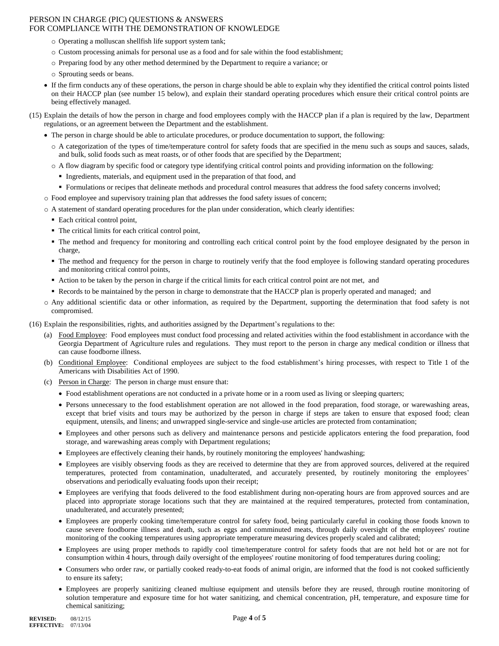- o Operating a molluscan shellfish life support system tank;
- o Custom processing animals for personal use as a food and for sale within the food establishment;
- o Preparing food by any other method determined by the Department to require a variance; or
- o Sprouting seeds or beans.
- If the firm conducts any of these operations, the person in charge should be able to explain why they identified the critical control points listed on their HACCP plan (see number 15 below), and explain their standard operating procedures which ensure their critical control points are being effectively managed.
- (15) Explain the details of how the person in charge and food employees comply with the HACCP plan if a plan is required by the law, Department regulations, or an agreement between the Department and the establishment.
	- The person in charge should be able to articulate procedures, or produce documentation to support, the following:
		- o A categorization of the types of time/temperature control for safety foods that are specified in the menu such as soups and sauces, salads, and bulk, solid foods such as meat roasts, or of other foods that are specified by the Department;
		- o A flow diagram by specific food or category type identifying critical control points and providing information on the following:
			- Ingredients, materials, and equipment used in the preparation of that food, and
			- Formulations or recipes that delineate methods and procedural control measures that address the food safety concerns involved;
	- o Food employee and supervisory training plan that addresses the food safety issues of concern;
	- o A statement of standard operating procedures for the plan under consideration, which clearly identifies:
		- Each critical control point,
		- The critical limits for each critical control point,
		- The method and frequency for monitoring and controlling each critical control point by the food employee designated by the person in charge,
		- The method and frequency for the person in charge to routinely verify that the food employee is following standard operating procedures and monitoring critical control points,
		- Action to be taken by the person in charge if the critical limits for each critical control point are not met, and
		- Records to be maintained by the person in charge to demonstrate that the HACCP plan is properly operated and managed; and
	- o Any additional scientific data or other information, as required by the Department, supporting the determination that food safety is not compromised.
- (16) Explain the responsibilities, rights, and authorities assigned by the Department's regulations to the:
	- (a) Food Employee: Food employees must conduct food processing and related activities within the food establishment in accordance with the Georgia Department of Agriculture rules and regulations. They must report to the person in charge any medical condition or illness that can cause foodborne illness.
	- (b) Conditional Employee: Conditional employees are subject to the food establishment's hiring processes, with respect to Title 1 of the Americans with Disabilities Act of 1990.
	- (c) Person in Charge: The person in charge must ensure that:
		- Food establishment operations are not conducted in a private home or in a room used as living or sleeping quarters;
		- Persons unnecessary to the food establishment operation are not allowed in the food preparation, food storage, or warewashing areas, except that brief visits and tours may be authorized by the person in charge if steps are taken to ensure that exposed food; clean equipment, utensils, and linens; and unwrapped single-service and single-use articles are protected from contamination;
		- Employees and other persons such as delivery and maintenance persons and pesticide applicators entering the food preparation, food storage, and warewashing areas comply with Department regulations;
		- Employees are effectively cleaning their hands, by routinely monitoring the employees' handwashing;
		- Employees are visibly observing foods as they are received to determine that they are from approved sources, delivered at the required temperatures, protected from contamination, unadulterated, and accurately presented, by routinely monitoring the employees' observations and periodically evaluating foods upon their receipt;
		- Employees are verifying that foods delivered to the food establishment during non-operating hours are from approved sources and are placed into appropriate storage locations such that they are maintained at the required temperatures, protected from contamination, unadulterated, and accurately presented;
		- Employees are properly cooking time/temperature control for safety food, being particularly careful in cooking those foods known to cause severe foodborne illness and death, such as eggs and comminuted meats, through daily oversight of the employees' routine monitoring of the cooking temperatures using appropriate temperature measuring devices properly scaled and calibrated;
		- Employees are using proper methods to rapidly cool time/temperature control for safety foods that are not held hot or are not for consumption within 4 hours, through daily oversight of the employees' routine monitoring of food temperatures during cooling;
		- Consumers who order raw, or partially cooked ready-to-eat foods of animal origin, are informed that the food is not cooked sufficiently to ensure its safety;
		- Employees are properly sanitizing cleaned multiuse equipment and utensils before they are reused, through routine monitoring of solution temperature and exposure time for hot water sanitizing, and chemical concentration, pH, temperature, and exposure time for chemical sanitizing;